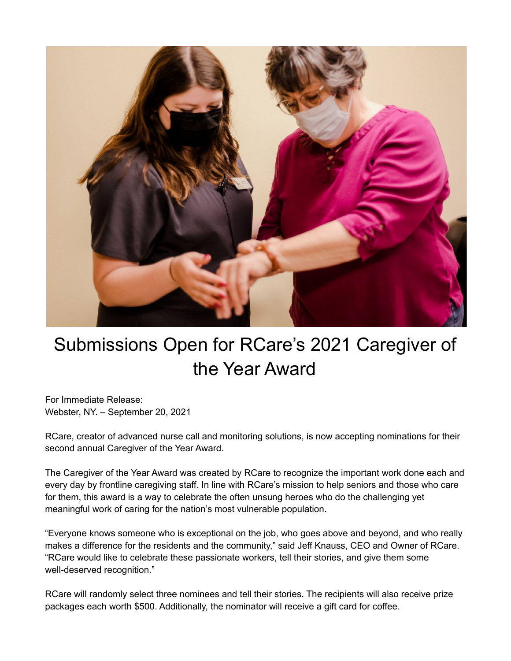

## Submissions Open for RCare's 2021 Caregiver of the Year Award

For Immediate Release: Webster, NY. – September 20, 2021

RCare, creator of advanced nurse call and monitoring solutions, is now accepting nominations for their second annual Caregiver of the Year Award.

The Caregiver of the Year Award was created by RCare to recognize the important work done each and every day by frontline caregiving staff. In line with RCare's mission to help seniors and those who care for them, this award is a way to celebrate the often unsung heroes who do the challenging yet meaningful work of caring for the nation's most vulnerable population.

"Everyone knows someone who is exceptional on the job, who goes above and beyond, and who really makes a difference for the residents and the community," said Jeff Knauss, CEO and Owner of RCare. "RCare would like to celebrate these passionate workers, tell their stories, and give them some well-deserved recognition."

RCare will randomly select three nominees and tell their stories. The recipients will also receive prize packages each worth \$500. Additionally, the nominator will receive a gift card for coffee.